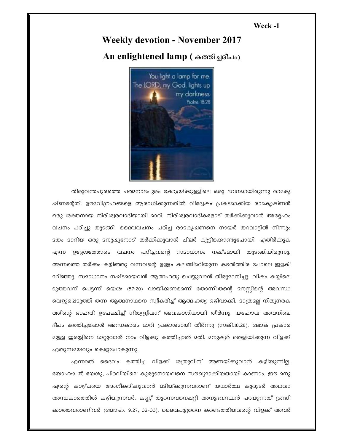### Week-1

# **Weekly devotion - November 2017**

## An enlightened lamp (கணிதுகிவல



തിരുവന്തപുരത്തെ പത്മനാഭപുരം കോട്ടയ്ക്കുള്ളിലെ ഒരു ഭവനമായിരുന്നു രാമകൃ ഷ്ണന്റേത്. ഊമവിഗ്രഹങ്ങളെ ആരാധിക്കുന്നതിൽ വിദ്വേഷം പ്രകടമാക്കിയ രാമകൃഷ്ണൻ ഒരു ശക്തനായ നിരീശ്വരവാദിയായി മാറി. നിരീശ്വരവാദികളോട് തർക്കിക്കുവാൻ അദ്ദേഹം വചനം പഠിച്ചു തുടങ്ങി. ദൈവവചനം പഠിച്ച രാമകൃഷണനെ നായർ തറവാട്ടിൽ നിന്നും മതം മാറിയ ഒരു മനുഷ്യനോട് തർക്കിക്കുവാൻ ചിലർ കൂട്ടിക്കൊണ്ടുപോയി. എതിർക്കുക എന്ന ഉദ്ദേശത്തോടെ വചനം പഠിച്ചവന്റെ സമാധാനം നഷ്ടമായി തുടങ്ങിയിരുന്നു. അന്നത്തെ തർക്കം കഴിഞ്ഞു വന്നവന്റെ ഉള്ളം കലങ്ങിമറിയുന്ന കടൽത്തിര പോലെ ഇളകി <u> മറിഞ്ഞു. സമാധാനം നഷ്ടമായവൻ ആത്മഹത്യ ചെയ്യുവാൻ തീരുമാനിച്ചു. വിഷം കയ്യിലെ</u> ടുത്തവന് പെട്ടന്ന് യെശ: (57:20) വായിക്കണമെന്ന് തോന്നി.തന്റെ മനസ്സിന്റെ അവസ്ഥ വെളുപ്പെടുത്തി തന്ന ആത്മനാഥനെ സ്വീകരിച്ച് ആത്മഹത്യ ഒഴിവാക്കി. മാത്രമല്ല നിത്യനരക ത്തിന്റെ ഓഹരി ഉപേക്ഷിച്ച് നിത്യജീവന് അവകാശിയായി തീർന്നു. യഹോവ അവനിലെ ദീപം കത്തിച്ചപ്പോൾ അന്ധകാരം മാറി പ്രകാശമായി തീർന്നു (സങ്കി:18:28). ലോക പ്രകാര <u>ാുള്ള ഇരുട്ടിനെ മാറ്റുവാൻ നാം വിളക്കു കത്തിച്ചാൽ മതി. മനുഷ്യർ തെളിയിക്കുന്ന വിളക്ക്</u> ഏതുസമയവും കെട്ടുപോകുന്നു.

എന്നാൽ ദൈവം കത്തിച്ച വിളക്ക് ശത്രുവിന് അണയ്ക്കുവാൻ കഴിയുന്നില്ല. യോഹ:9 ൽ യേശു, പിറവിയിലെ കുരുടനായവനെ സൗഖ്യമാക്കിയതായി കാണാം. ഈ മനു ഷ്യന്റെ കാഴ്ചയെ അംഗീകരിക്കുവാൻ മടിയ്ക്കുന്നവരാണ് യഥാർത്ഥ കുരുടർ അഥവാ അന്ധകാരത്തിൽ കഴിയുന്നവർ. കണ്ണ് തുറന്നവനെപ്പറ്റി അനുഭവസ്ഥൻ പറയുന്നത് ശ്രദ്ധി ക്കാത്തവരാണിവർ (യോഹ: 9:27, 32-33). ദൈവപുത്രനെ കണ്ടെത്തിയവന്റെ വിളക്ക് അവർ